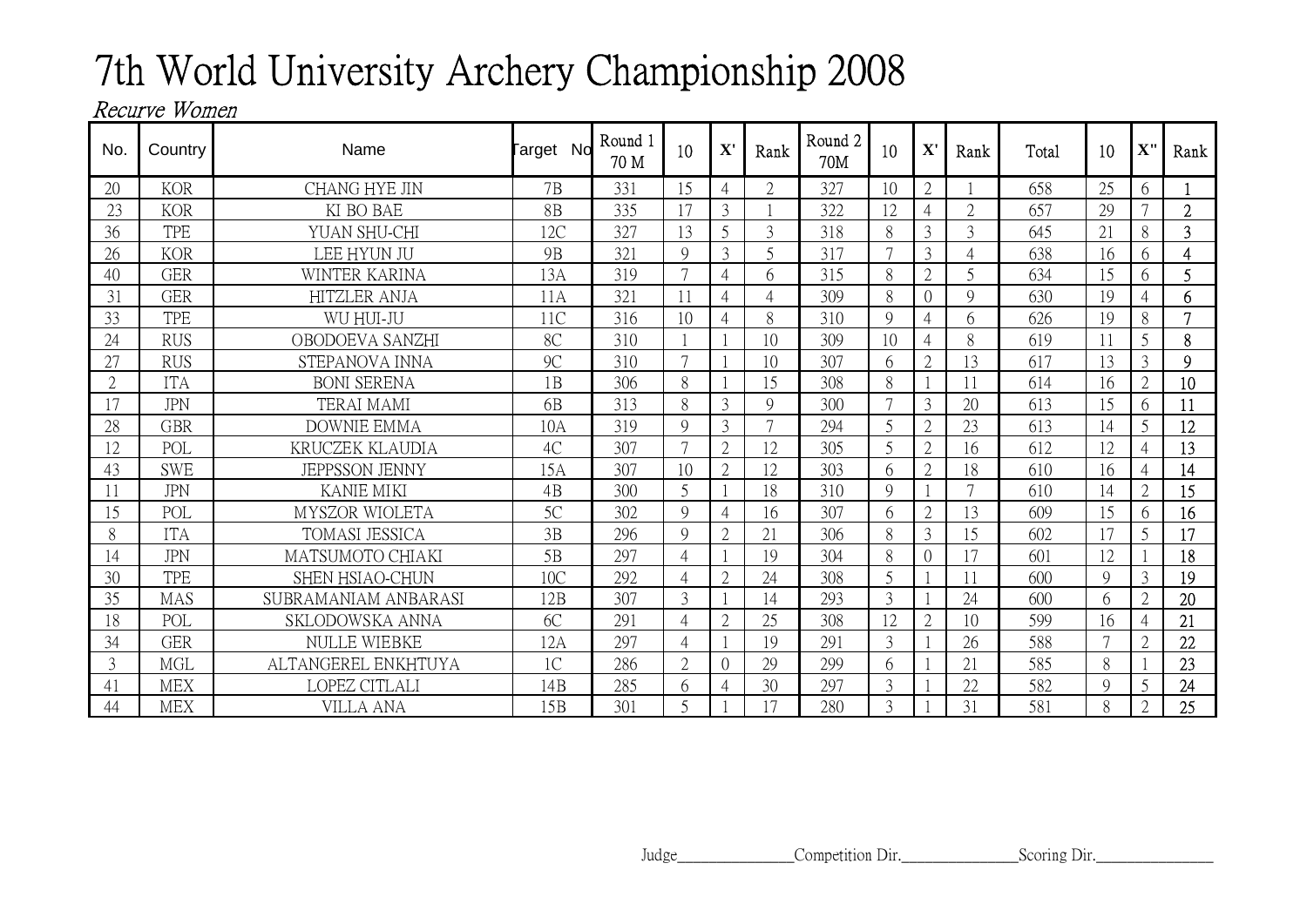## 7th World University Archery Championship 2008

## Recurve Women

| No.            | Country    | Name                   | arget No        | Round 1<br>70 M | 10                       | $\mathbf{X}^{\prime}$ | Rank           | Round <sub>2</sub><br>70M | 10     | ${\bf X}'$               | Rank           | Total | 10            | X''            | Rank           |
|----------------|------------|------------------------|-----------------|-----------------|--------------------------|-----------------------|----------------|---------------------------|--------|--------------------------|----------------|-------|---------------|----------------|----------------|
| 20             | <b>KOR</b> | <b>CHANG HYE JIN</b>   | 7B              | 331             | 15                       | $\overline{4}$        | $\overline{2}$ | 327                       | 10     | $\overline{2}$           |                | 658   | 25            | 6              |                |
| 23             | <b>KOR</b> | KI BO BAE              | 8B              | 335             |                          | $\mathfrak{Z}$        |                | 322                       | 12     | $\overline{A}$           | $\overline{2}$ | 657   | 29            |                | $\overline{2}$ |
| 36             | <b>TPE</b> | YUAN SHU-CHI           | 12C             | 327             | 13                       | 5                     | 3              | 318                       | 8      | 3                        | 3              | 645   | 21            | 8              | 3              |
| 26             | <b>KOR</b> | LEE HYUN JU            | <b>9B</b>       | 321             | $\mathcal{Q}$            | 3                     | 5              | 317                       | $\tau$ | 3                        | 4              | 638   | 16            | 6              | $\overline{4}$ |
| 40             | <b>GER</b> | WINTER KARINA          | 13A             | 319             |                          | $\overline{4}$        | 6              | 315                       | 8      | $\overline{2}$           | 5              | 634   | 15            | 6              | 5              |
| 31             | <b>GER</b> | <b>HITZLER ANJA</b>    | 11A             | 321             |                          | $\overline{4}$        | $\mathcal{A}$  | 309                       | 8      | $\bigcap$                | $\mathbf Q$    | 630   | 19            | $\overline{4}$ | 6              |
| 33             | <b>TPE</b> | WU HUI-JU              | 11C             | 316             | 10                       | $\overline{4}$        | 8              | 310                       | 9      | 4                        | 6              | 626   | 19            | 8              | $\mathcal{I}$  |
| 24             | <b>RUS</b> | OBODOEVA SANZHI        | 8C              | 310             |                          |                       | 10             | 309                       | 10     | 4                        | 8              | 619   | 11            | 5              | 8              |
| 27             | <b>RUS</b> | STEPANOVA INNA         | 9C              | 310             | $\overline{7}$           |                       | 10             | 307                       | 6      | $\overline{2}$           | 13             | 617   | 13            | $\overline{3}$ | 9              |
| $\overline{2}$ | <b>ITA</b> | <b>BONI SERENA</b>     | 1B              | 306             | 8                        |                       | 15             | 308                       | 8      |                          | 11             | 614   | 16            | $\overline{2}$ | 10             |
|                | <b>JPN</b> | <b>TERAI MAMI</b>      | 6 <sub>B</sub>  | 313             | 8                        | $\overline{3}$        | $\mathbf{Q}$   | 300                       | $\tau$ | 3                        | 20             | 613   | 15            | 6              | 11             |
| 28             | <b>GBR</b> | <b>DOWNIE EMMA</b>     | 10A             | 319             | $\mathbf Q$              | $\overline{3}$        | $\overline{7}$ | 294                       | 5      | $\overline{2}$           | 23             | 613   | 14            | 5              | 12             |
| 12             | POL        | KRUCZEK KLAUDIA        | 4C              | 307             | $\overline{7}$           | $\overline{2}$        | 12             | 305                       | 5      | $\overline{\mathcal{L}}$ | 16             | 612   | 12            | $\overline{4}$ | 13             |
| 43             | <b>SWE</b> | <b>JEPPSSON JENNY</b>  | 15A             | 307             | 10                       | $\overline{2}$        | 12             | 303                       | 6      | $\overline{2}$           | 18             | 610   | 16            | 4              | 14             |
| 11             | <b>JPN</b> | <b>KANIE MIKI</b>      | 4B              | 300             | 5                        |                       | 18             | 310                       | 9      |                          | $\overline{7}$ | 610   | 14            | $\overline{2}$ | 15             |
| 15             | POL        | MYSZOR WIOLETA         | 5C              | 302             | $\mathbf Q$              | $\overline{4}$        | 16             | 307                       | 6      | $\overline{2}$           | 13             | 609   | 15            | 6              | 16             |
| 8              | <b>ITA</b> | <b>TOMASI JESSICA</b>  | 3B              | 296             | $\mathcal{Q}$            | $\overline{2}$        | 21             | 306                       | 8      | 3                        | 15             | 602   | 17            | 5              | 17             |
| 14             | <b>JPN</b> | MATSUMOTO CHIAKI       | 5B              | 297             | 4                        |                       | 19             | 304                       | 8      | $\theta$                 | 17             | 601   | 12            |                | 18             |
| 30             | <b>TPE</b> | <b>SHEN HSIAO-CHUN</b> | 10C             | 292             | 4                        | $\overline{2}$        | 24             | 308                       | 5      |                          | 11             | 600   | $\mathbf Q$   | 3              | 19             |
| 35             | <b>MAS</b> | SUBRAMANIAM ANBARASI   | 12B             | 307             | 3                        |                       | 14             | 293                       | 3      |                          | 24             | 600   | 6             | $\overline{2}$ | 20             |
| 18             | POL        | SKLODOWSKA ANNA        | 6C              | 291             | 4                        | $\overline{2}$        | 25             | 308                       | 12     | $\overline{2}$           | 10             | 599   | 16            | $\overline{4}$ | 21             |
| 34             | <b>GER</b> | <b>NULLE WIEBKE</b>    | 12A             | 297             | $\overline{\mathcal{A}}$ |                       | 19             | 291                       | 3      |                          | 26             | 588   | $\mathcal{L}$ | $\overline{2}$ | 22             |
| 3              | <b>MGL</b> | ALTANGEREL ENKHTUYA    | 1 <sup>C</sup>  | 286             | $\overline{2}$           | $\theta$              | 29             | 299                       | 6      |                          | 21             | 585   | 8             |                | 23             |
| 41             | <b>MEX</b> | LOPEZ CITLALI          | 14B             | 285             | 6                        | $\overline{4}$        | 30             | 297                       | 3      |                          | 22             | 582   | $\mathbf Q$   | 5              | 24             |
| 44             | <b>MEX</b> | VILLA ANA              | 15 <sub>B</sub> | 301             | 5                        |                       |                | 280                       | 3      |                          | 31             | 581   | 8             | $\overline{2}$ | 25             |